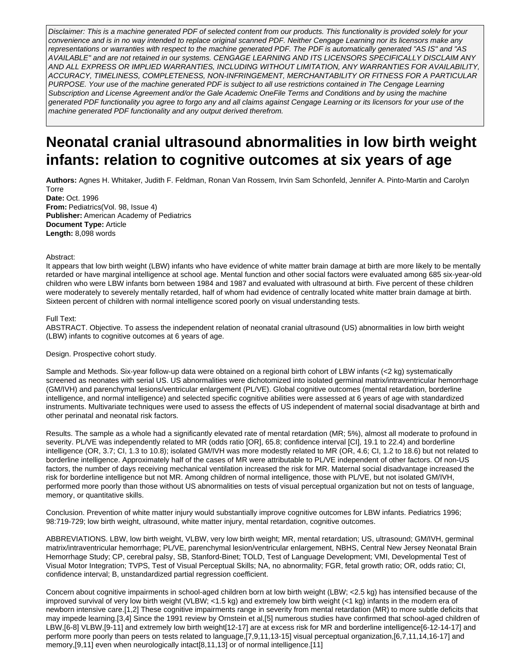Disclaimer: This is a machine generated PDF of selected content from our products. This functionality is provided solely for your convenience and is in no way intended to replace original scanned PDF. Neither Cengage Learning nor its licensors make any representations or warranties with respect to the machine generated PDF. The PDF is automatically generated "AS IS" and "AS AVAILABLE" and are not retained in our systems. CENGAGE LEARNING AND ITS LICENSORS SPECIFICALLY DISCLAIM ANY AND ALL EXPRESS OR IMPLIED WARRANTIES, INCLUDING WITHOUT LIMITATION, ANY WARRANTIES FOR AVAILABILITY, ACCURACY, TIMELINESS, COMPLETENESS, NON-INFRINGEMENT, MERCHANTABILITY OR FITNESS FOR A PARTICULAR PURPOSE. Your use of the machine generated PDF is subject to all use restrictions contained in The Cengage Learning Subscription and License Agreement and/or the Gale Academic OneFile Terms and Conditions and by using the machine generated PDF functionality you agree to forgo any and all claims against Cengage Learning or its licensors for your use of the machine generated PDF functionality and any output derived therefrom.

# **Neonatal cranial ultrasound abnormalities in low birth weight infants: relation to cognitive outcomes at six years of age**

**Authors:** Agnes H. Whitaker, Judith F. Feldman, Ronan Van Rossem, Irvin Sam Schonfeld, Jennifer A. Pinto-Martin and Carolyn Torre

**Date:** Oct. 1996 **From:** Pediatrics(Vol. 98, Issue 4) **Publisher:** American Academy of Pediatrics **Document Type:** Article **Length:** 8,098 words

## Abstract:

It appears that low birth weight (LBW) infants who have evidence of white matter brain damage at birth are more likely to be mentally retarded or have marginal intelligence at school age. Mental function and other social factors were evaluated among 685 six-year-old children who were LBW infants born between 1984 and 1987 and evaluated with ultrasound at birth. Five percent of these children were moderately to severely mentally retarded, half of whom had evidence of centrally located white matter brain damage at birth. Sixteen percent of children with normal intelligence scored poorly on visual understanding tests.

## Full Text:

ABSTRACT. Objective. To assess the independent relation of neonatal cranial ultrasound (US) abnormalities in low birth weight (LBW) infants to cognitive outcomes at 6 years of age.

Design. Prospective cohort study.

Sample and Methods. Six-year follow-up data were obtained on a regional birth cohort of LBW infants (<2 kg) systematically screened as neonates with serial US. US abnormalities were dichotomized into isolated germinal matrix/intraventricular hemorrhage (GM/IVH) and parenchymal lesions/ventricular enlargement (PL/VE). Global cognitive outcomes (mental retardation, borderline intelligence, and normal intelligence) and selected specific cognitive abilities were assessed at 6 years of age with standardized instruments. Multivariate techniques were used to assess the effects of US independent of maternal social disadvantage at birth and other perinatal and neonatal risk factors.

Results. The sample as a whole had a significantly elevated rate of mental retardation (MR; 5%), almost all moderate to profound in severity. PL/VE was independently related to MR (odds ratio [OR], 65.8; confidence interval [CI], 19.1 to 22.4) and borderline intelligence (OR, 3.7; CI, 1.3 to 10.8); isolated GM/IVH was more modestly related to MR (OR, 4.6; CI, 1.2 to 18.6) but not related to borderline intelligence. Approximately half of the cases of MR were attributable to PL/VE independent of other factors. Of non-US factors, the number of days receiving mechanical ventilation increased the risk for MR. Maternal social disadvantage increased the risk for borderline intelligence but not MR. Among children of normal intelligence, those with PL/VE, but not isolated GM/IVH, performed more poorly than those without US abnormalities on tests of visual perceptual organization but not on tests of language, memory, or quantitative skills.

Conclusion. Prevention of white matter injury would substantially improve cognitive outcomes for LBW infants. Pediatrics 1996; 98:719-729; low birth weight, ultrasound, white matter injury, mental retardation, cognitive outcomes.

ABBREVIATIONS. LBW, low birth weight, VLBW, very low birth weight; MR, mental retardation; US, ultrasound; GM/IVH, germinal matrix/intraventricular hemorrhage; PL/VE, parenchymal lesion/ventricular enlargement, NBHS, Central New Jersey Neonatal Brain Hemorrhage Study; CP, cerebral palsy, SB, Stanford-Binet; TOLD, Test of Language Development; VMI, Developmental Test of Visual Motor Integration; TVPS, Test of Visual Perceptual Skills; NA, no abnormality; FGR, fetal growth ratio; OR, odds ratio; CI, confidence interval; B, unstandardized partial regression coefficient.

Concern about cognitive impairments in school-aged children born at low birth weight (LBW; <2.5 kg) has intensified because of the improved survival of very low birth weight (VLBW; <1.5 kg) and extremely low birth weight (<1 kg) infants in the modern era of newborn intensive care.[1,2] These cognitive impairments range in severity from mental retardation (MR) to more subtle deficits that may impede learning.[3,4] Since the 1991 review by Ornstein et al,[5] numerous studies have confirmed that school-aged children of LBW,[6-8] VLBW,[9-11] and extremely low birth weight[12-17] are at excess risk for MR and borderline intelligence[6-12-14-17] and perform more poorly than peers on tests related to language,[7,9,11,13-15] visual perceptual organization,[6,7,11,14,16-17] and memory,[9,11] even when neurologically intact[8,11,13] or of normal intelligence.[11]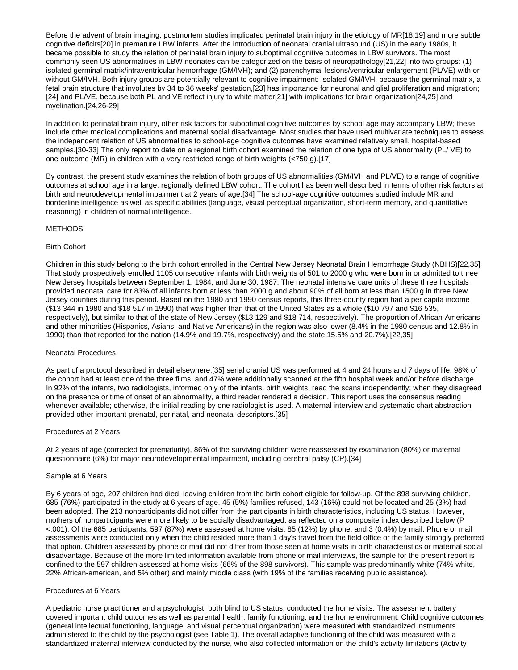Before the advent of brain imaging, postmortem studies implicated perinatal brain injury in the etiology of MR[18,19] and more subtle cognitive deficits[20] in premature LBW infants. After the introduction of neonatal cranial ultrasound (US) in the early 1980s, it became possible to study the relation of perinatal brain injury to suboptimal cognitive outcomes in LBW survivors. The most commonly seen US abnormalities in LBW neonates can be categorized on the basis of neuropathology[21,22] into two groups: (1) isolated germinal matrix/intraventricular hemorrhage (GM/IVH); and (2) parenchymal lesions/ventricular enlargement (PL/VE) with or without GM/IVH. Both injury groups are potentially relevant to cognitive impairment: isolated GM/IVH, because the germinal matrix, a fetal brain structure that involutes by 34 to 36 weeks' gestation,[23] has importance for neuronal and glial proliferation and migration; [24] and PL/VE, because both PL and VE reflect injury to white matter[21] with implications for brain organization[24,25] and myelination.[24,26-29]

In addition to perinatal brain injury, other risk factors for suboptimal cognitive outcomes by school age may accompany LBW; these include other medical complications and maternal social disadvantage. Most studies that have used multivariate techniques to assess the independent relation of US abnormalities to school-age cognitive outcomes have examined relatively small, hospital-based samples.[30-33] The only report to date on a regional birth cohort examined the relation of one type of US abnormality (PL/ VE) to one outcome (MR) in children with a very restricted range of birth weights (<750 g).[17]

By contrast, the present study examines the relation of both groups of US abnormalities (GM/IVH and PL/VE) to a range of cognitive outcomes at school age in a large, regionally defined LBW cohort. The cohort has been well described in terms of other risk factors at birth and neurodevelopmental impairment at 2 years of age.[34] The school-age cognitive outcomes studied include MR and borderline intelligence as well as specific abilities (language, visual perceptual organization, short-term memory, and quantitative reasoning) in children of normal intelligence.

# METHODS

## Birth Cohort

Children in this study belong to the birth cohort enrolled in the Central New Jersey Neonatal Brain Hemorrhage Study (NBHS)[22,35] That study prospectively enrolled 1105 consecutive infants with birth weights of 501 to 2000 g who were born in or admitted to three New Jersey hospitals between September 1, 1984, and June 30, 1987. The neonatal intensive care units of these three hospitals provided neonatal care for 83% of all infants born at less than 2000 g and about 90% of all born at less than 1500 g in three New Jersey counties during this period. Based on the 1980 and 1990 census reports, this three-county region had a per capita income (\$13 344 in 1980 and \$18 517 in 1990) that was higher than that of the United States as a whole (\$10 797 and \$16 535, respectively), but similar to that of the state of New Jersey (\$13 129 and \$18 714, respectively). The proportion of African-Americans and other minorities (Hispanics, Asians, and Native Americans) in the region was also lower (8.4% in the 1980 census and 12.8% in 1990) than that reported for the nation (14.9% and 19.7%, respectively) and the state 15.5% and 20.7%).[22,35]

#### Neonatal Procedures

As part of a protocol described in detail elsewhere,[35] serial cranial US was performed at 4 and 24 hours and 7 days of life; 98% of the cohort had at least one of the three films, and 47% were additionally scanned at the fifth hospital week and/or before discharge. In 92% of the infants, two radiologists, informed only of the infants, birth weights, read the scans independently; when they disagreed on the presence or time of onset of an abnormality, a third reader rendered a decision. This report uses the consensus reading whenever available; otherwise, the initial reading by one radiologist is used. A maternal interview and systematic chart abstraction provided other important prenatal, perinatal, and neonatal descriptors.[35]

#### Procedures at 2 Years

At 2 years of age (corrected for prematurity), 86% of the surviving children were reassessed by examination (80%) or maternal questionnaire (6%) for major neurodevelopmental impairment, including cerebral palsy (CP).[34]

#### Sample at 6 Years

By 6 years of age, 207 children had died, leaving children from the birth cohort eligible for follow-up. Of the 898 surviving children, 685 (76%) participated in the study at 6 years of age, 45 (5%) families refused, 143 (16%) could not be located and 25 (3%) had been adopted. The 213 nonparticipants did not differ from the participants in birth characteristics, including US status. However, mothers of nonparticipants were more likely to be socially disadvantaged, as reflected on a composite index described below (P <.001). Of the 685 participants, 597 (87%) were assessed at home visits, 85 (12%) by phone, and 3 (0.4%) by mail. Phone or mail assessments were conducted only when the child resided more than 1 day's travel from the field office or the family strongly preferred that option. Children assessed by phone or mail did not differ from those seen at home visits in birth characteristics or maternal social disadvantage. Because of the more limited information available from phone or mail interviews, the sample for the present report is confined to the 597 children assessed at home visits (66% of the 898 survivors). This sample was predominantly white (74% white, 22% African-american, and 5% other) and mainly middle class (with 19% of the families receiving public assistance).

#### Procedures at 6 Years

A pediatric nurse practitioner and a psychologist, both blind to US status, conducted the home visits. The assessment battery covered important child outcomes as well as parental health, family functioning, and the home environment. Child cognitive outcomes (general intellectual functioning, language, and visual perceptual organization) were measured with standardized instruments administered to the child by the psychologist (see Table 1). The overall adaptive functioning of the child was measured with a standardized maternal interview conducted by the nurse, who also collected information on the child's activity limitations (Activity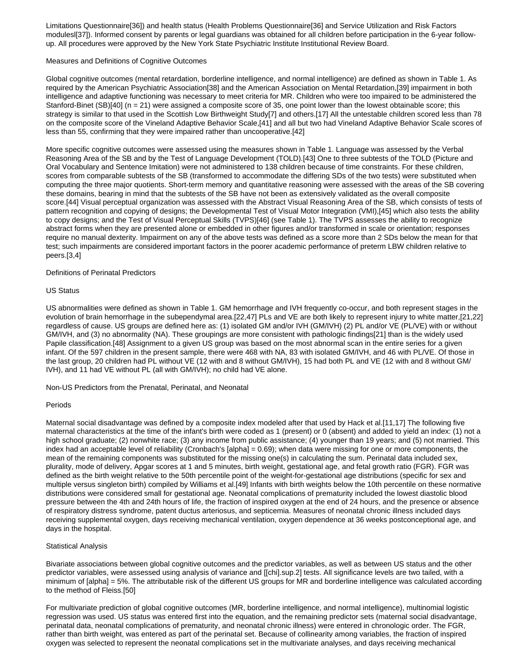Limitations Questionnaire[36]) and health status (Health Problems Questionnaire[36] and Service Utilization and Risk Factors modulesl[37]). Informed consent by parents or legal guardians was obtained for all children before participation in the 6-year followup. All procedures were approved by the New York State Psychiatric Institute Institutional Review Board.

## Measures and Definitions of Cognitive Outcomes

Global cognitive outcomes (mental retardation, borderline intelligence, and normal intelligence) are defined as shown in Table 1. As required by the American Psychiatric Association[38] and the American Association on Mental Retardation,[39] impairment in both intelligence and adaptive functioning was necessary to meet criteria for MR. Children who were too impaired to be administered the Stanford-Binet (SB)[40] (n = 21) were assigned a composite score of 35, one point lower than the lowest obtainable score; this strategy is similar to that used in the Scottish Low Birthweight Study[7] and others.[17] All the untestable children scored less than 78 on the composite score of the Vineland Adaptive Behavior Scale,[41] and all but two had Vineland Adaptive Behavior Scale scores of less than 55, confirming that they were impaired rather than uncooperative.[42]

More specific cognitive outcomes were assessed using the measures shown in Table 1. Language was assessed by the Verbal Reasoning Area of the SB and by the Test of Language Development (TOLD).[43] One to three subtests of the TOLD (Picture and Oral Vocabulary and Sentence Imitation) were not administered to 138 children because of time constraints. For these children, scores from comparable subtests of the SB (transformed to accommodate the differing SDs of the two tests) were substituted when computing the three major quotients. Short-term memory and quantitative reasoning were assessed with the areas of the SB covering these domains, bearing in mind that the subtests of the SB have not been as extensively validated as the overall composite score.[44] Visual perceptual organization was assessed with the Abstract Visual Reasoning Area of the SB, which consists of tests of pattern recognition and copying of designs; the Developmental Test of Visual Motor Integration (VMI),[45] which also tests the ability to copy designs; and the Test of Visual Perceptual Skills (TVPS)[46] (see Table 1). The TVPS assesses the ability to recognize abstract forms when they are presented alone or embedded in other figures and/or transformed in scale or orientation; responses require no manual dexterity. Impairment on any of the above tests was defined as a score more than 2 SDs below the mean for that test; such impairments are considered important factors in the poorer academic performance of preterm LBW children relative to peers.[3,4]

# Definitions of Perinatal Predictors

## US Status

US abnormalities were defined as shown in Table 1. GM hemorrhage and IVH frequently co-occur, and both represent stages in the evolution of brain hemorrhage in the subependymal area.[22,47] PLs and VE are both likely to represent injury to white matter,[21,22] regardless of cause. US groups are defined here as: (1) isolated GM and/or IVH (GM/IVH) (2) PL and/or VE (PL/VE) with or without GM/IVH, and (3) no abnormality (NA). These groupings are more consistent with pathologic findings[21] than is the widely used Papile classification.[48] Assignment to a given US group was based on the most abnormal scan in the entire series for a given infant. Of the 597 children in the present sample, there were 468 with NA, 83 with isolated GM/IVH, and 46 with PL/VE. Of those in the last group, 20 children had PL without VE (12 with and 8 without GM/IVH), 15 had both PL and VE (12 with and 8 without GM/ IVH), and 11 had VE without PL (all with GM/IVH); no child had VE alone.

Non-US Predictors from the Prenatal, Perinatal, and Neonatal

# Periods

Maternal social disadvantage was defined by a composite index modeled after that used by Hack et al.[11,17] The following five maternal characteristics at the time of the infant's birth were coded as 1 (present) or 0 (absent) and added to yield an index: (1) not a high school graduate; (2) nonwhite race; (3) any income from public assistance; (4) younger than 19 years; and (5) not married. This index had an acceptable level of reliability (Cronbach's [alpha] = 0.69); when data were missing for one or more components, the mean of the remaining components was substituted for the missing one(s) in calculating the sum. Perinatal data included sex, plurality, mode of delivery, Apgar scores at 1 and 5 minutes, birth weight, gestational age, and fetal growth ratio (FGR). FGR was defined as the birth weight relative to the 50th percentile point of the weight-for-gestational age distributions (specific for sex and multiple versus singleton birth) compiled by Williams et al.[49] Infants with birth weights below the 10th percentile on these normative distributions were considered small for gestational age. Neonatal complications of prematurity included the lowest diastolic blood pressure between the 4th and 24th hours of life, the fraction of inspired oxygen at the end of 24 hours, and the presence or absence of respiratory distress syndrome, patent ductus arteriosus, and septicemia. Measures of neonatal chronic illness included days receiving supplemental oxygen, days receiving mechanical ventilation, oxygen dependence at 36 weeks postconceptional age, and days in the hospital.

# Statistical Analysis

Bivariate associations between global cognitive outcomes and the predictor variables, as well as between US status and the other predictor variables, were assessed using analysis of variance and [[chi].sup.2] tests. All significance levels are two tailed, with a minimum of [alpha] = 5%. The attributable risk of the different US groups for MR and borderline intelligence was calculated according to the method of Fleiss.[50]

For multivariate prediction of global cognitive outcomes (MR, borderline intelligence, and normal intelligence), multinomial logistic regression was used. US status was entered first into the equation, and the remaining predictor sets (maternal social disadvantage, perinatal data, neonatal complications of prematurity, and neonatal chronic illness) were entered in chronologic order. The FGR, rather than birth weight, was entered as part of the perinatal set. Because of collinearity among variables, the fraction of inspired oxygen was selected to represent the neonatal complications set in the multivariate analyses, and days receiving mechanical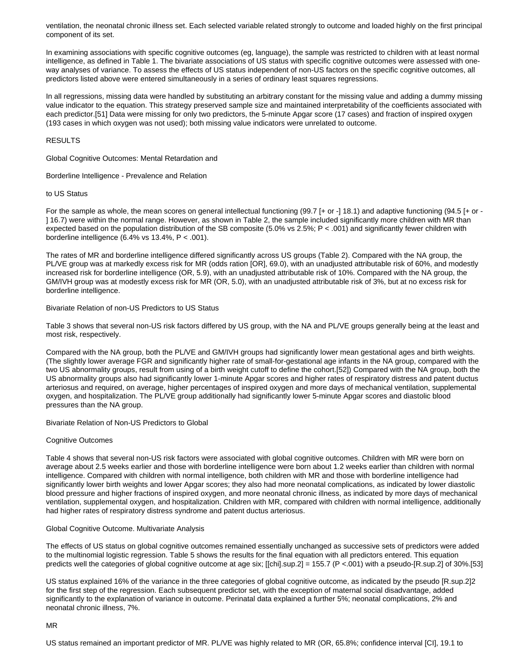ventilation, the neonatal chronic illness set. Each selected variable related strongly to outcome and loaded highly on the first principal component of its set.

In examining associations with specific cognitive outcomes (eg, language), the sample was restricted to children with at least normal intelligence, as defined in Table 1. The bivariate associations of US status with specific cognitive outcomes were assessed with oneway analyses of variance. To assess the effects of US status independent of non-US factors on the specific cognitive outcomes, all predictors listed above were entered simultaneously in a series of ordinary least squares regressions.

In all regressions, missing data were handled by substituting an arbitrary constant for the missing value and adding a dummy missing value indicator to the equation. This strategy preserved sample size and maintained interpretability of the coefficients associated with each predictor.[51] Data were missing for only two predictors, the 5-minute Apgar score (17 cases) and fraction of inspired oxygen (193 cases in which oxygen was not used); both missing value indicators were unrelated to outcome.

RESULTS

Global Cognitive Outcomes: Mental Retardation and

Borderline Intelligence - Prevalence and Relation

## to US Status

For the sample as whole, the mean scores on general intellectual functioning (99.7 [+ or -] 18.1) and adaptive functioning (94.5 [+ or - ] 16.7) were within the normal range. However, as shown in Table 2, the sample included significantly more children with MR than expected based on the population distribution of the SB composite (5.0% vs 2.5%; P < .001) and significantly fewer children with borderline intelligence  $(6.4\% \text{ vs } 13.4\%, \text{ P} < .001).$ 

The rates of MR and borderline intelligence differed significantly across US groups (Table 2). Compared with the NA group, the PL/VE group was at markedly excess risk for MR (odds ration [OR], 69.0), with an unadjusted attributable risk of 60%, and modestly increased risk for borderline intelligence (OR, 5.9), with an unadjusted attributable risk of 10%. Compared with the NA group, the GM/IVH group was at modestly excess risk for MR (OR, 5.0), with an unadjusted attributable risk of 3%, but at no excess risk for borderline intelligence.

## Bivariate Relation of non-US Predictors to US Status

Table 3 shows that several non-US risk factors differed by US group, with the NA and PL/VE groups generally being at the least and most risk, respectively.

Compared with the NA group, both the PL/VE and GM/IVH groups had significantly lower mean gestational ages and birth weights. (The slightly lower average FGR and significantly higher rate of small-for-gestational age infants in the NA group, compared with the two US abnormality groups, result from using of a birth weight cutoff to define the cohort.[52]) Compared with the NA group, both the US abnormality groups also had significantly lower 1-minute Apgar scores and higher rates of respiratory distress and patent ductus arteriosus and required, on average, higher percentages of inspired oxygen and more days of mechanical ventilation, supplemental oxygen, and hospitalization. The PL/VE group additionally had significantly lower 5-minute Apgar scores and diastolic blood pressures than the NA group.

Bivariate Relation of Non-US Predictors to Global

# Cognitive Outcomes

Table 4 shows that several non-US risk factors were associated with global cognitive outcomes. Children with MR were born on average about 2.5 weeks earlier and those with borderline intelligence were born about 1.2 weeks earlier than children with normal intelligence. Compared with children with normal intelligence, both children with MR and those with borderline intelligence had significantly lower birth weights and lower Apgar scores; they also had more neonatal complications, as indicated by lower diastolic blood pressure and higher fractions of inspired oxygen, and more neonatal chronic illness, as indicated by more days of mechanical ventilation, supplemental oxygen, and hospitalization. Children with MR, compared with children with normal intelligence, additionally had higher rates of respiratory distress syndrome and patent ductus arteriosus.

# Global Cognitive Outcome. Multivariate Analysis

The effects of US status on global cognitive outcomes remained essentially unchanged as successive sets of predictors were added to the multinomial logistic regression. Table 5 shows the results for the final equation with all predictors entered. This equation predicts well the categories of global cognitive outcome at age six; [[chi].sup.2] = 155.7 (P <.001) with a pseudo-[R.sup.2] of 30%.[53]

US status explained 16% of the variance in the three categories of global cognitive outcome, as indicated by the pseudo [R.sup.2]2 for the first step of the regression. Each subsequent predictor set, with the exception of maternal social disadvantage, added significantly to the explanation of variance in outcome. Perinatal data explained a further 5%; neonatal complications, 2% and neonatal chronic illness, 7%.

MR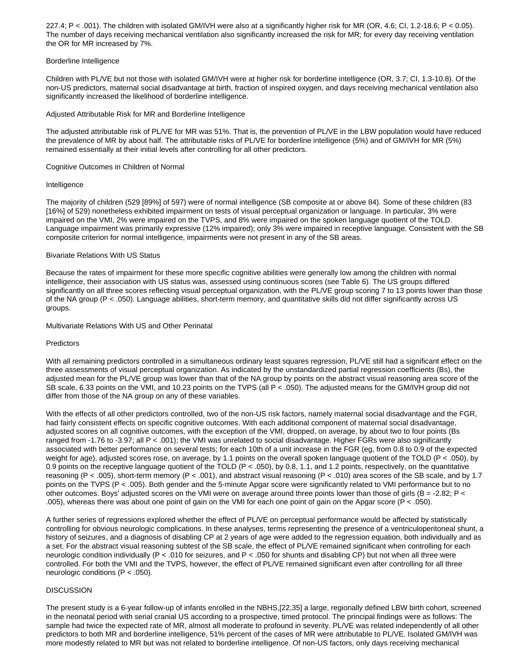227.4; P < .001). The children with isolated GM/IVH were also at a significantly higher risk for MR (OR, 4.6; CI, 1.2-18.6; P < 0.05). The number of days receiving mechanical ventilation also significantly increased the risk for MR; for every day receiving ventilation the OR for MR increased by 7%.

## Borderline Intelligence

Children with PL/VE but not those with isolated GM/IVH were at higher risk for borderline intelligence (OR, 3.7; CI, 1.3-10.8). Of the non-US predictors, maternal social disadvantage at birth, fraction of inspired oxygen, and days receiving mechanical ventilation also significantly increased the likelihood of borderline intelligence.

# Adjusted Attributable Risk for MR and Borderline Intelligence

The adjusted attributable risk of PL/VE for MR was 51%. That is, the prevention of PL/VE in the LBW population would have reduced the prevalence of MR by about half. The attributable risks of PL/VE for borderline intelligence (5%) and of GM/IVH for MR (5%) remained essentially at their initial levels after controlling for all other predictors.

# Cognitive Outcomes in Children of Normal

## Intelligence

The majority of children (529 [89%] of 597) were of normal intelligence (SB composite at or above 84). Some of these children (83 [16%] of 529) nonetheless exhibited impairment on tests of visual perceptual organization or language. In particular, 3% were impaired on the VMI, 2% were impaired on the TVPS, and 8% were impaired on the spoken language quotient of the TOLD. Language impairment was primarily expressive (12% impaired); only 3% were impaired in receptive language. Consistent with the SB composite criterion for normal intelligence, impairments were not present in any of the SB areas.

## Bivariate Relations With US Status

Because the rates of impairment for these more specific cognitive abilities were generally low among the children with normal intelligence, their association with US status was, assessed using continuous scores (see Table 6). The US groups differed significantly on all three scores reflecting visual perceptual organization, with the PL/VE group scoring 7 to 13 points lower than those of the NA group (P < .050). Language abilities, short-term memory, and quantitative skills did not differ significantly across US groups.

#### Multivariate Relations With US and Other Perinatal

#### **Predictors**

With all remaining predictors controlled in a simultaneous ordinary least squares regression, PL/VE still had a significant effect on the three assessments of visual perceptual organization. As indicated by the unstandardized partial regression coefficients (Bs), the adjusted mean for the PL/VE group was lower than that of the NA group by points on the abstract visual reasoning area score of the SB scale, 6.33 points on the VMI, and 10.23 points on the TVPS (all P < .050). The adjusted means for the GM/IVH group did not differ from those of the NA group on any of these variables.

With the effects of all other predictors controlled, two of the non-US risk factors, namely maternal social disadvantage and the FGR, had fairly consistent effects on specific cognitive outcomes. With each additional component of maternal social disadvantage, adjusted scores on all cognitive outcomes, with the exception of the VMI, dropped, on average, by about two to four points (Bs ranged from -1.76 to -3.97; all P < .001); the VMI was unrelated to social disadvantage. Higher FGRs were also significantly associated with better performance on several tests; for each 10th of a unit increase in the FGR (eg, from 0.8 to 0.9 of the expected weight for age), adjusted scores rose, on average, by 1.1 points on the overall spoken language quotient of the TOLD (P < .050), by 0.9 points on the receptive language quotient of the TOLD (P < .050), by 0.8, 1.1, and 1.2 points, respectively, on the quantitative reasoning (P < .005), short-term memory (P < .001), and abstract visual reasoning (P < .010) area scores of the SB scale, and by 1.7 points on the TVPS (P < .005). Both gender and the 5-minute Apgar score were significantly related to VMI performance but to no other outcomes. Boys' adjusted scores on the VMI were on average around three points lower than those of girls (B = -2.82; P < .005), whereas there was about one point of gain on the VMI for each one point of gain on the Apgar score (P < .050).

A further series of regressions explored whether the effect of PL/VE on perceptual performance would be affected by statistically controlling for obvious neurologic complications. In these analyses, terms representing the presence of a ventriculoperitoneal shunt, a history of seizures, and a diagnosis of disabling CP at 2 years of age were added to the regression equation, both individually and as a set. For the abstract visual reasoning subtest of the SB scale, the effect of PL/VE remained significant when controlling for each neurologic condition individually (P < .010 for seizures, and P < .050 for shunts and disabling CP) but not when all three were controlled. For both the VMI and the TVPS, however, the effect of PL/VE remained significant even after controlling for all three neurologic conditions (P < .050).

#### **DISCUSSION**

The present study is a 6-year follow-up of infants enrolled in the NBHS,[22,35] a large, regionally defined LBW birth cohort, screened in the neonatal period with serial cranial US according to a prospective, timed protocol. The principal findings were as follows: The sample had twice the expected rate of MR, almost all moderate to profound in severity. PL/VE was related independently of all other predictors to both MR and borderline intelligence, 51% percent of the cases of MR were attributable to PL/VE. Isolated GM/IVH was more modestly related to MR but was not related to borderline intelligence. Of non-US factors, only days receiving mechanical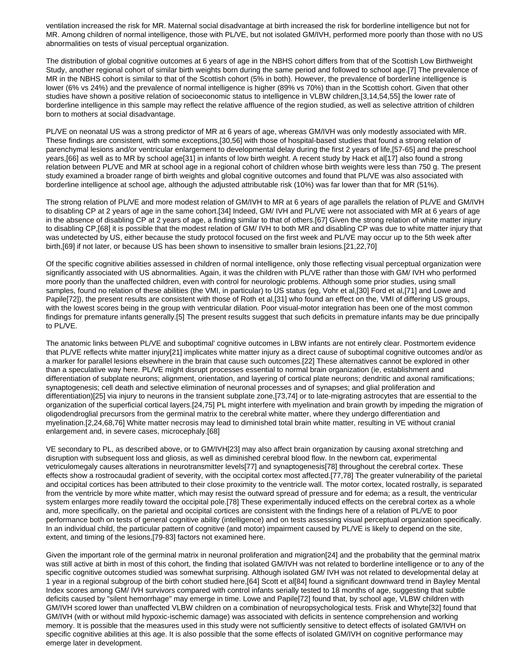ventilation increased the risk for MR. Maternal social disadvantage at birth increased the risk for borderline intelligence but not for MR. Among children of normal intelligence, those with PL/VE, but not isolated GM/IVH, performed more poorly than those with no US abnormalities on tests of visual perceptual organization.

The distribution of global cognitive outcomes at 6 years of age in the NBHS cohort differs from that of the Scottish Low Birthweight Study, another regional cohort of similar birth weights born during the same period and followed to school age.[7] The prevalence of MR in the NBHS cohort is similar to that of the Scottish cohort (5% in both). However, the prevalence of borderline intelligence is lower (6% vs 24%) and the prevalence of normal intelligence is higher (89% vs 70%) than in the Scottish cohort. Given that other studies have shown a positive relation of socioeconomic status to intelligence in VLBW children,[3,14,54,55] the lower rate of borderline intelligence in this sample may reflect the relative affluence of the region studied, as well as selective attrition of children born to mothers at social disadvantage.

PL/VE on neonatal US was a strong predictor of MR at 6 years of age, whereas GM/IVH was only modestly associated with MR. These findings are consistent, with some exceptions,[30,56] with those of hospital-based studies that found a strong relation of parenchymal lesions and/or ventricular enlargement to developmental delay during the first 2 years of life,[57-65] and the preschool years,[66] as well as to MR by school age[31] in infants of low birth weight. A recent study by Hack et al[17] also found a strong relation between PL/VE and MR at school age in a regional cohort of children whose birth weights were less than 750 g. The present study examined a broader range of birth weights and global cognitive outcomes and found that PL/VE was also associated with borderline intelligence at school age, although the adjusted attributable risk (10%) was far lower than that for MR (51%).

The strong relation of PL/VE and more modest relation of GM/IVH to MR at 6 years of age parallels the relation of PL/VE and GM/IVH to disabling CP at 2 years of age in the same cohort.[34] Indeed, GM/ IVH and PL/VE were not associated with MR at 6 years of age in the absence of disabling CP at 2 years of age, a finding similar to that of others.[67] Given the strong relation of white matter injury to disabling CP,[68] it is possible that the modest relation of GM/ IVH to both MR and disabling CP was due to white matter injury that was undetected by US, either because the study protocol focused on the first week and PL/VE may occur up to the 5th week after birth,[69] if not later, or because US has been shown to insensitive to smaller brain lesions.[21,22,70]

Of the specific cognitive abilities assessed in children of normal intelligence, only those reflecting visual perceptual organization were significantly associated with US abnormalities. Again, it was the children with PL/VE rather than those with GM/ IVH who performed more poorly than the unaffected children, even with control for neurologic problems. Although some prior studies, using small samples, found no relation of these abilities (the VMI, in particular) to US status (eg, Vohr et al,[30] Ford et al,[71] and Lowe and Papile[72]), the present results are consistent with those of Roth et al,[31] who found an effect on the, VMI of differing US groups, with the lowest scores being in the group with ventricular dilation. Poor visual-motor integration has been one of the most common findings for premature infants generally.[5] The present results suggest that such deficits in premature infants may be due principally to PL/VE.

The anatomic links between PL/VE and suboptimal' cognitive outcomes in LBW infants are not entirely clear. Postmortem evidence that PL/VE reflects white matter injury[21] implicates white matter injury as a direct cause of suboptimal cognitive outcomes and/or as a marker for parallel lesions elsewhere in the brain that cause such outcomes.[22] These alternatives cannot be explored in other than a speculative way here. PL/VE might disrupt processes essential to normal brain organization (ie, establishment and differentiation of subplate neurons; alignment, orientation, and layering of cortical plate neurons; dendritic and axonal ramifications; synaptogenesis; cell death and selective elimination of neuronal processes and of synapses; and glial proliferation and differentiation)[25] via injury to neurons in the transient subplate zone,[73,74] or to late-migrating astrocytes that are essential to the organization of the superficial cortical layers.[24,75] PL might interfere with myelination and brain growth by impeding the migration of oligodendroglial precursors from the germinal matrix to the cerebral white matter, where they undergo differentiation and myelination.[2,24,68,76] White matter necrosis may lead to diminished total brain white matter, resulting in VE without cranial enlargement and, in severe cases, microcephaly.[68]

VE secondary to PL, as described above, or to GM/IVH[23] may also affect brain organization by causing axonal stretching and disruption with subsequent loss and gliosis, as well as diminished cerebral blood flow. In the newborn cat, experimental vetriculomegaly causes alterations in neurotransmitter levels[77] and synaptogenesis[78] throughout the cerebral cortex. These effects show a rostrocaudal gradient of severity, with the occipital cortex most affected.[77,78] The greater vulnerability of the parietal and occipital cortices has been attributed to their close proximity to the ventricle wall. The motor cortex, located rostrally, is separated from the ventricle by more white matter, which may resist the outward spread of pressure and for edema; as a result, the ventricular system enlarges more readily toward the occipital pole.[78] These experimentally induced effects on the cerebral cortex as a whole and, more specifically, on the parietal and occipital cortices are consistent with the findings here of a relation of PL/VE to poor performance both on tests of general cognitive ability (intelligence) and on tests assessing visual perceptual organization specifically. In an individual child, the particular pattern of cognitive (and motor) impairment caused by PL/VE is likely to depend on the site, extent, and timing of the lesions,[79-83] factors not examined here.

Given the important role of the germinal matrix in neuronal proliferation and migration[24] and the probability that the germinal matrix was still active at birth in most of this cohort, the finding that isolated GM/IVH was not related to borderline intelligence or to any of the specific cognitive outcomes studied was somewhat surprising. Although isolated GM/ IVH was not related to developmental delay at 1 year in a regional subgroup of the birth cohort studied here,[64] Scott et al[84] found a significant downward trend in Bayley Mental Index scores among GM/ IVH survivors compared with control infants serially tested to 18 months of age, suggesting that subtle deficits caused by "silent hemorrhage" may emerge in time. Lowe and Papile[72] found that, by school age, VLBW children with GM/IVH scored lower than unaffected VLBW children on a combination of neuropsychological tests. Frisk and Whyte[32] found that GM/IVH (with or without mild hypoxic-ischemic damage) was associated with deficits in sentence comprehension and working memory. It is possible that the measures used in this study were not sufficiently sensitive to detect effects of isolated GM/IVH on specific cognitive abilities at this age. It is also possible that the some effects of isolated GM/IVH on cognitive performance may emerge later in development.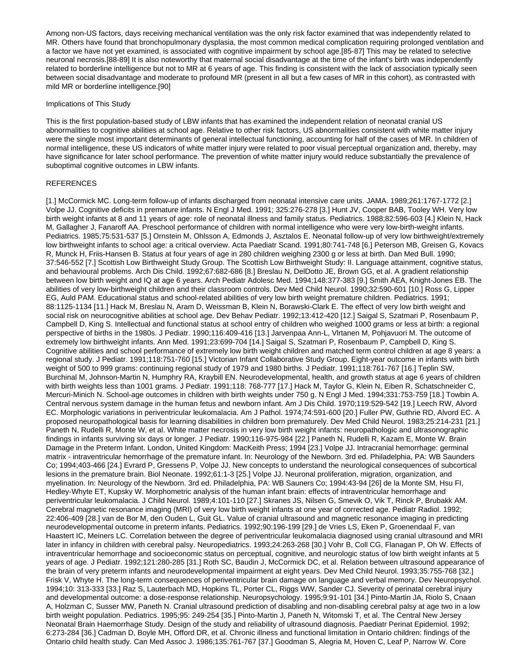Among non-US factors, days receiving mechanical ventilation was the only risk factor examined that was independently related to MR. Others have found that bronchopulmonary dysplasia, the most common medical complication requiring prolonged ventilation and a factor we have not yet examined, is associated with cognitive impairment by school age.[85-87] This may be related to selective neuronal necrosis.[88-89] It is also noteworthy that maternal social disadvantage at the time of the infant's birth was independently related to borderline intelligence but not to MR at 6 years of age. This finding is consistent with the lack of association typically seen between social disadvantage and moderate to profound MR (present in all but a few cases of MR in this cohort), as contrasted with mild MR or borderline intelligence.[90]

#### Implications of This Study

This is the first population-based study of LBW infants that has examined the independent relation of neonatal cranial US abnormalities to cognitive abilities at school age. Relative to other risk factors, US abnormalities consistent with white matter injury were the single most important determinants of general intellectual functioning, accounting for half of the cases of MR. In children of normal intelligence, these US indicators of white matter injury were related to poor visual perceptual organization and, thereby, may have significance for later school performance. The prevention of white matter injury would reduce substantially the prevalence of suboptimal cognitive outcomes in LBW infants.

#### **REFERENCES**

[1.] McCormick MC. Long-term follow-up of infants discharged from neonatal intensive care units. JAMA. 1989;261:1767-1772 [2.] Volpe JJ. Cognitive deficits in premature infants. N Engl J Med. 1991; 325:276-278 [3.] Hunt JV, Cooper BAB, Tooley WH. Very low birth weight infants at 8 and 11 years of age: role of neonatal illness and family status. Pediatrics. 1988;82:596-603 [4.] Klein N, Hack M, Gallagher J, Fanaroff AA. Preschool performance of children with normal intelligence who were very low-birth-weight infants. Pediatrics. 1985;75:531-537 [5.] Ornstein M, Ohlsson A, Edmonds J, Asztalos E. Neonatal follow-up of very low birthweight/extremely low birthweight infants to school age: a critical overview. Acta Paediatr Scand. 1991;80:741-748 [6.] Peterson MB, Greisen G, Kovacs R, Munck H, Friis-Hansen B. Status at four years of age in 280 children weighing 2300 g or less at birth. Dan Med Bull. 1990; 37:546-552 [7.] Scottish Low Birthweight Study Group. The Scottish Low Birthweight Study: II. Language attainment, cognitive status, and behavioural problems. Arch Dis Child. 1992;67:682-686 [8.] Breslau N, DelDotto JE, Brown GG, et al. A gradient relationship between low birth weight and IQ at age 6 years. Arch Pediatr Adolesc Med. 1994;148:377-383 [9.] Smith AEA, Knight-Jones EB. The abilities of very low-birthweight children and their classroom controls. Dev Med Child Neurol. 1990;32:590-601 [10.] Ross G, Lipper EG, Auld PAM. Educational status and school-related abilities of very low birth weight premature children. Pediatrics. 1991; 88:1125-1134 [11.] Hack M, Breslau N, Aram D, Weissman B, Klein N, Borawski-Clark E. The effect of very low birth weight and social risk on neurocognitive abilities at school age. Dev Behav Pediatr. 1992;13:412-420 [12.] Saigal S, Szatmari P, Rosenbaum P, Campbell D, King S. Intellectual and functional status at school entry of children who weighed 1000 grams or less at birth: a regional perspective of births in the 1980s. J Pediatr. 1990;116:409-416 [13.] Jarvenpaa Ann-L, Vlrtanen M, Pohjavuori M. The outcome of extremely low birthweight infants. Ann Med. 1991;23:699-704 [14.] Saigal S, Szatmari P, Rosenbaum P, Campbell D, King S. Cognitive abilities and school performance of extremely low birth weight children and matched term control children at age 8 years: a regional study. J Pediatr. 1991;118:751-760 [15.] Victorian Infant Collaborative Study Group. Eight-year outcome in infants with birth weight of 500 to 999 grams: continuing regional study of 1979 and 1980 births. J Pediatr. 1991;118:761-767 [16.] Teplin SW, Burchinal M, Johnson-Martin N, Humphry RA, Kraybill EN. Neurodevelopmental, health, and growth status at age 6 years of children with birth weights less than 1001 grams. J Pediatr. 1991;118: 768-777 [17.] Hack M, Taylor G, Klein N, Eiben R, Schatschneider C, Mercuri-Minich N. School-age outcomes in children with birth weights under 750 g. N Engl J Med. 1994;331:753-759 [18.] Towbin A. Central nervous system damage in the human fetus and newborn infant. Am J Dis Child. 1970;119:529-542 [19.] Leech RW, Alvord EC. Morphologic variations in periventricular leukomalacia. Am J Pathol. 1974;74:591-600 [20.] Fuller PW, Guthrie RD, Alvord EC. A proposed neuropathological basis for learning disabilities in children born prematurely. Dev Med Child Neurol. 1983;25:214-231 [21.] Paneth N, Rudelli R, Monte W, et al. White matter necrosis in very low birth weight infants: neuropathologic and ultrasonographic findings in infants surviving six days or longer. J Pediatr. 1990;116-975-984 [22.] Paneth N, Rudelli R, Kazam E, Monte W. Brain Damage in the Preterm Infant. London, United Kingdom: MacKeith Press; 1994 [23.] Volpe JJ. Intracranial hemorrhage: germinal matrix - intraventricular hemorrhage of the premature infant. In: Neurology of the Newborn. 3rd ed. Philadelphia, PA: WB Saunders Co; 1994;403-466 [24.] Evrard P, Gressens P, Volpe JJ. New concepts to understand the neurological consequences of subcortical lesions in the premature brain. Biol Neonate. 1992;61:1-3 [25.] Volpe JJ. Neuronal proliferation, migration, organization, and myelination. In: Neurology of the Newborn. 3rd ed. Philadelphia, PA: WB Sauners Co; 1994:43-94 [26] de la Monte SM, Hsu FI, Hedley-Whyte ET, Kupsky W. Morphometric analysis of the human infant brain: effects of intraventricular hemorrhage and periventricular leukomalacia. J Child Neurol. 1989;4:101-110 [27.] Skranes JS, Nilsen G, Smevik O, Vik T, Rinck P, Brubakk AM. Cerebral magnetic resonance imaging (MRI) of very low birth weight infants at one year of corrected age. Pediatr Radiol. 1992; 22:406-409 [28.] van de Bor M, den Ouden L, Guit GL. Value of cranial ultrasound and magnetic resonance imaging in predicting neurodevelopmental outcome in preterm infants. Pediatrics. 1992;90:196-199 [29.] de Vries LS, Eken P, Groenendaal F, van Haastert IC, Meiners LC. Correlation between the degree of periventricular leukomalacia diagnosed using cranial ultrasound and MRI later in infancy in children with cerebral palsy. Neuropediatrics. 1993;24:263-268 [30.] Vohr B, Coll CG, Flanagan P, Oh W. Effects of intraventricular hemorrhage and socioeconomic status on perceptual, cognitive, and neurologic status of low birth weight infants at 5 years of age. J Pediatr. 1992;121:280-285 [31.] Roth SC, Baudin J, McCormick DC, et al. Relation between ultrasound appearance of the brain of very preterm infants and neurodevelopmental impairment at eight years. Dev Med Child Neurol. 1993;35:755-768 [32.] Frisk V, Whyte H. The long-term consequences of periventricular brain damage on language and verbal memory. Dev Neuropsychol. 1994;10: 313-333 [33.] Raz S, Lauterbach MD, Hopkins TL, Porter CL, Riggs WW, Sander CJ. Severity of perinatal cerebral injury and developmental outcome: a dose-response relationship. Neuropsychology. 1995;9:91-101 [34.] Pinto-Martin JA, Riolo S, Cnaan A, Holzman C, Susser MW, Paneth N. Cranial ultrasound prediction of disabling and non-disabling cerebral palsy at age two in a low birth weight population. Pediatrics. 1995;95: 249-254 [35.] Pinto-Martin J, Paneth N, Witomski T, et al. The Central New Jersey Neonatal Brain Haemorrhage Study. Design of the study and reliability of ultrasound diagnosis. Paediatr Perinat Epidemiol. 1992; 6:273-284 [36.] Cadman D, Boyle MH, Offord DR, et al. Chronic illness and functional limitation in Ontario children: findings of the Ontario child health study. Can Med Assoc J. 1986;135:761-767 [37.] Goodman S, Alegria M, Hoven C, Leaf P, Narrow W. Core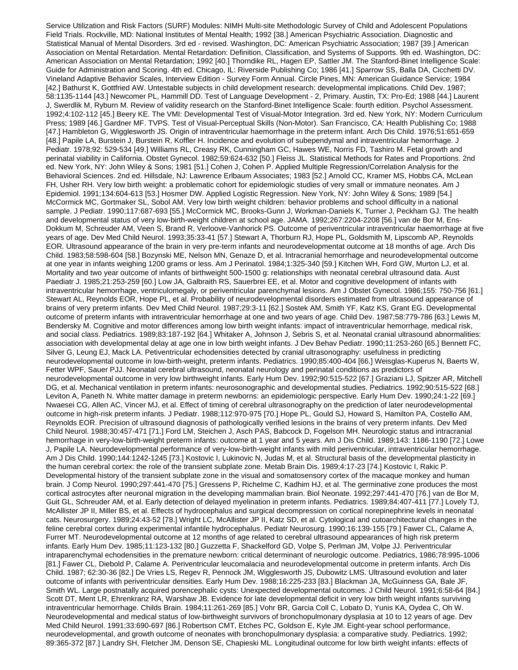Service Utilization and Risk Factors (SURF) Modules: NIMH Multi-site Methodologic Survey of Child and Adolescent Populations Field Trials. Rockville, MD: National Institutes of Mental Health; 1992 [38.] American Psychiatric Association. Diagnostic and Statistical Manual of Mental Disorders. 3rd ed - revised. Washington, DC: American Psychiatric Association; 1987 [39.] American Association on Mental Retardation. Mental Retardation: Definition, Classification, and Systems of Supports. 9th ed. Washington, DC: American Association on Mental Retardation; 1992 [40.] Thorndike RL, Hagen EP, Sattler JM. The Stanford-Binet Intelligence Scale: Guide for Administration and Scoring. 4th ed. Chicago, IL: Riverside Publishing Co; 1986 [41.] Sparrow SS, Balla DA, Cicchetti DV. Vineland Adaptive Behavior Scales, Interview Edition - Survey Form Annual. Circle Pines, MN: American Guidance Service; 1984 [42.] Bathurst K, Gottfried AW. Untestable subjects in child development research: developmental implications. Child Dev. 1987; 58:1135-1144 [43.] Newcomer PL, Hammill DD. Test of Language Development - 2, Primary. Austin, TX: Pro-Ed; 1988 [44.] Laurent J, Swerdlik M, Ryburn M. Review of validity research on the Stanford-Binet Intelligence Scale: fourth edition. Psychol Assessment. 1992;4:102-112 [45.] Beery KE. The VMI: Developmental Test of Visual-Motor Integration. 3rd ed. New York, NY: Modern Curriculum Press; 1989 [46.] Gardner MF. TVPS. Test of Visual-Perceptual Skills (Non-Motor). San Francisco, CA: Health Publishing Co; 1988 [47.] Hambleton G, Wigglesworth JS. Origin of intraventricular haemorrhage in the preterm infant. Arch Dis Child. 1976;51:651-659 [48.] Papile LA, Burstein J, Burstein R, Koffler H. Incidence and evolution of subependymal and intraventricular hemorrhage. J Pediatr. 1978;92: 529-534 [49.] Williams RL, Creasy RK, Cunningham GC, Hawes WE, Norris FD, Tashiro M. Fetal growth and perinatal viability in California. Obstet Gynecol. 1982;59:624-632 [50.] Fleiss JL. Statistical Methods for Rates and Proportions. 2nd ed. New York, NY: John Wiley & Sons; 1981 [51.] Cohen J, Cohen P. Applied Multiple Regression/Correlation Analysis for the Behavioral Sciences. 2nd ed. Hillsdale, NJ: Lawrence Erlbaum Associates; 1983 [52.] Arnold CC, Kramer MS, Hobbs CA, McLean FH, Usher RH. Very low birth weight: a problematic cohort for epidemiologic studies of very small or immature neonates. Am J Epidemiol. 1991;134:604-613 [53.] Hosmer DW. Applied Logistic Regression. New York, NY: John Wiley & Sons; 1989 [54.] McCormick MC, Gortmaker SL, Sobol AM. Very low birth weight children: behavior problems and school difficulty in a national sample. J Pediatr. 1990;117:687-693 [55.] McCormick MC, Brooks-Gunn J, Workman-Daniels K, Turner J, Peckham GJ. The health and developmental status of very low-birth-weight children at school age. JAMA. 1992;267:2204-2208 [56.] van de Bor M, Ens-Dokkum M, Schreuder AM, Veen S, Brand R, Verloove-Vanhorick PS. Outcome of periventricular intraventricular haemorrhage at five years of age. Dev Med Child Neurol. 1993;35:33-41 [57.] Stewart A, Thorburn RJ, Hope PL, Goldsmith M, Lipscomb AP, Reynolds EOR. Ultrasound appearance of the brain in very pre-term infants and neurodevelopmentat outcome at 18 months of age. Arch Dis Child. 1983;58:598-604 [58.] Bozynski ME, Nelson MN, Genaze D, et al. Intracranial hemorrhage and neurodevelopmental outcome at one year in infants weighing 1200 grams or less. Am J Perinatol. 1984;1:325-340 [59.] Kitchen WH, Ford GW, Murton LJ, et al. Mortality and two year outcome of infants of birthweight 500-1500 g: relationships with neonatal cerebral ultrasound data. Aust Paediatr J. 1985;21:253-259 [60.] Low JA, Galbraith RS, Sauerbrei EE, et al. Motor and cognitive development of infants with intraventricular hemorrhage, ventriculomegaly, or periventricular parenchymal lesions. Am J Obstet Gynecol. 1986;155: 750-756 [61.] Stewart AL, Reynolds EOR, Hope PL, et al. Probability of neurodevelopmental disorders estimated from ultrasound appearance of brains of very preterm infants. Dev Med Child Neurol. 1987;29:3-11 [62.] Sostek AM, Smith YF, Katz KS, Grant EG. Developmental outcome of preterm infants with intraventricular hemorrhage at one and two years of age. Child Dev. 1987;58:779-786 [63.] Lewis M, Bendersky M. Cognitive and motor differences among low birth weight infants: impact of intraventricular hemorrhage, medical risk, and social class. Pediatrics. 1989;83:187-192 [64.] Whitaker A, Johnson J, Sebris S, et al. Neonatal cranial ultrasound abnormalities: association with developmental delay at age one in low birth weight infants. J Dev Behav Pediatr. 1990;11:253-260 [65.] Bennett FC, Silver G, Leung EJ, Mack LA. Petiventricular echodensities detected by cranial ultrasonography: usefulness in predicting neurodevelopmental outcome in low-birth-weight, preterm infants. Pediatrics. 1990;85:400-404 [66.] Weisglas-Kuperus N, Baerts W, Fetter WPF, Sauer PJJ. Neonatal cerebral ultrasound, neonatal neurology and perinatal conditions as predictors of neurodevelopmental outcome in very low birthweight infants. Early Hum Dev. 1992;90:515-522 [67.] Graziani LJ, Spitzer AR, Mitchell DG, et al. Mechanical ventilation in preterm infants: neurosonographic and developmental studies. Pediatrics. 1992;90:515-522 [68.] Leviton A, Paneth N. White matter damage in preterm newborns: an epidemiologic perspective. Early Hum Dev. 1990;24:1-22 [69.] Nwaesei CG, Allen AC, Vincer MJ, et al. Effect of timing of cerebral ultrasonography on the prediction of later neurodevelopmental outcome in high-risk preterm infants. J Pediatr. 1988;112:970-975 [70.] Hope PL, Gould SJ, Howard S, Hamilton PA, Costello AM, Reynolds EOR. Precision of ultrasound diagnosis of pathologically verified lesions in the brains of very preterm infants. Dev Med Child Neurol. 1988;30:457-471 [71.] Ford LM, Steichen J, Asch PAS, Babcock D, Fogelson MH. Neurologic status and intracranial hemorrhage in very-low-birth-weight preterm infants: outcome at 1 year and 5 years. Am J Dis Child. 1989;143: 1186-1190 [72.] Lowe J, Papile LA. Neurodevelopmental performance of very-low-birth-weight infants with mild periventricular, intraventricular hemorrhage. Am J Dis Child. 1990;144:1242-1245 [73.] Kostovic I, Lukinovic N, Judas M, et al. Structural basis of the developmental plasticity in the human cerebral cortex: the role of the transient subplate zone. Metab Brain Dis. 1989;4:17-23 [74.] Kostovic I, Rakic P. Developmental history of the transient subplate zone in the visual and somatosensory cortex of the macaque monkey and human brain. J Comp Neurol. 1990;297:441-470 [75.] Gressens P, Richelme C, Kadhim HJ, et al. The germinative zone produces the most cortical astrocytes after neuronal migration in the developing mammalian brain. Biol Neonate. 1992;297:441-470 [76.] van de Bor M, Guit GL, Schreuder AM, et al. Early detection of delayed myelination in preterm infants. Pediatrics. 1989;84:407-411 [77.] Lovely TJ, McAllister JP II, Miller BS, et al. Effects of hydrocephalus and surgical decompression on cortical norepinephrine levels in neonatal cats. Neurosurgery. 1989;24:43-52 [78.] Wright LC, McAllister JP II, Katz SD, et al. Cytological and cutoarchitectural changes in the feline cerebral cortex during experimental infantile hydrocephalus. Pediatr Neurosurg. 1990;16:139-155 [79.] Fawer CL, Calame A, Furrer MT. Neurodevelopmental outcome at 12 months of age related to cerebral ultrasound appearances of high risk preterm infants. Early Hum Dev. 1985;11:123-132 [80.] Guzzetta F, Shackelford GD, Volpe S, Perlman JM, Volpe JJ. Periventricular intraparenchymal echodensities in the premature newborn: critical determinant of neurologic outcome. Pediatrics, 1986;78:995-1006 [81.] Fawer CL, Diebold P, Calame A. Periventricular leucomalacia and neurodevelopmental outcome in preterm infants. Arch Dis Child. 1987; 62:30-36 [82.] De Vries LS, Regev R, Pennock JM, Wigglesworth JS, Dubowitz LMS. Ultrasound evolution and later outcome of infants with periventricular densities. Early Hum Dev. 1988;16:225-233 [83.] Blackman JA, McGuinness GA, Bale JF, Smith WL. Large postnatally acquired porencephalic cysts: Unexpected developmental outcomes. J Child Neurol. 1991;6:58-64 [84.] Scott DT, Ment LR, Ehrenkranz RA, Warshaw JB. Evidence for late developmental deficit in very low birth weight infants surviving intraventricular hemorrhage. Childs Brain. 1984;11:261-269 [85.] Vohr BR, Garcia Coll C, Lobato D, Yunis KA, Oydea C, Oh W. Neurodevelopmental and medical status of low-birthweight survivors of bronchopulmonary dysplasia at 10 to 12 years of age. Dev Med Child Neurol. 1991;33:690-697 [86.] Robertson CMT, Etches PC, Goldson E, Kyle JM. Eight-year school performance, neurodevelopmental, and growth outcome of neonates with bronchopulmonary dysplasia: a comparative study. Pediatrics. 1992; 89:365-372 [87.] Landry SH, Fletcher JM, Denson SE, Chapieski ML. Longitudinal outcome for low birth weight infants: effects of